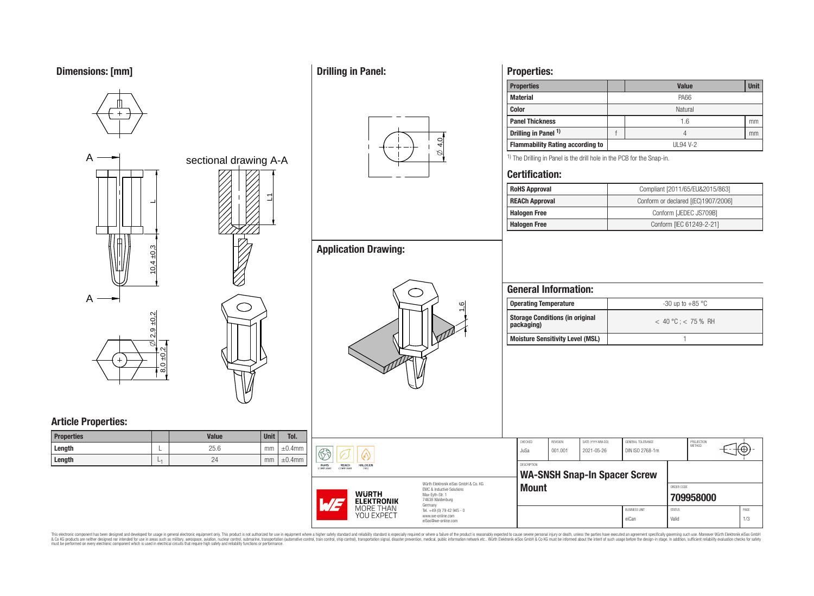# **Dimensions: [mm]**



# **Drilling in Panel:**



# **Application Drawing:**

L1



## **Properties:**

| <b>Properties</b>                       |         | <b>Value</b> | <b>Unit</b> |  |  |  |  |
|-----------------------------------------|---------|--------------|-------------|--|--|--|--|
| <b>Material</b>                         |         | PA66         |             |  |  |  |  |
| <b>Color</b>                            | Natural |              |             |  |  |  |  |
| <b>Panel Thickness</b>                  |         | 1.6          | mm          |  |  |  |  |
| Drilling in Panel 1)                    |         |              | mm          |  |  |  |  |
| <b>Flammability Rating according to</b> |         | UL94 V-2     |             |  |  |  |  |
|                                         |         |              |             |  |  |  |  |

<sup>1)</sup> The Drilling in Panel is the drill hole in the PCB for the Snap-in.

### **Certification:**

| <b>RoHS Approval</b>  | Compliant [2011/65/EU&2015/863]     |
|-----------------------|-------------------------------------|
| <b>REACh Approval</b> | Conform or declared [(EC)1907/2006] |
| <b>Halogen Free</b>   | Conform [JEDEC JS709B]              |
| <b>Halogen Free</b>   | Conform [IEC 61249-2-21]            |
|                       |                                     |

### **General Information:**

| Operating Temperature                                | $-30$ up to $+85$ °C    |  |  |  |  |
|------------------------------------------------------|-------------------------|--|--|--|--|
| <b>Storage Conditions (in original</b><br>packaging) | $< 40 °C$ ; $< 75 %$ RH |  |  |  |  |
| Moisture Sensitivity Level (MSL)                     |                         |  |  |  |  |

# **Article Properties:**

| <b>Properties</b> |   | <b>Value</b> | <b>Unit</b> | Tol.         |
|-------------------|---|--------------|-------------|--------------|
| Length            | ⊢ | 25.6         | mm          | $\pm 0.4$ mm |
| Length            | └ | 24           | mm          | $\pm 0.4$ mm |

|         |                                                                                 |                                                                   | CHECKED            | REVISION | DATE (YYYY-MM-DD)                   | GENERAL TOLERANCE    | PROJECTION<br>METHOD |      |
|---------|---------------------------------------------------------------------------------|-------------------------------------------------------------------|--------------------|----------|-------------------------------------|----------------------|----------------------|------|
| m<br>n. | $\mathbb{G}$ a                                                                  |                                                                   | JuSa               | 001.001  | 2021-05-26                          | DIN ISO 2768-1m      |                      |      |
|         | RoHS<br><b>REACh</b><br><b>HALOGEN</b><br><b>COMPLIANT</b><br>COMPLIANT<br>FREE |                                                                   | <b>DESCRIPTION</b> |          |                                     |                      |                      |      |
|         |                                                                                 |                                                                   |                    |          | <b>WA-SNSH Snap-In Spacer Screw</b> |                      |                      |      |
|         |                                                                                 | Würth Elektronik eiSos GmbH & Co. KG<br>FMC & Inductive Solutions | <b>Mount</b>       |          |                                     |                      | ORDER CODE           |      |
|         | <b>WURTH</b><br>WE<br><b>ELEKTRONIK</b>                                         | Max-Eyth-Str. 1<br>74638 Waldenburg<br>Germany                    |                    |          |                                     |                      | 709958000            |      |
|         | MORE THAN                                                                       | Tel. +49 (0) 79 42 945 - 0                                        |                    |          |                                     | <b>BUSINESS UNIT</b> | <b>STATUS</b>        | PAGE |
|         | YOU EXPECT                                                                      | www.we-online.com<br>eiSos@we-online.com                          |                    |          |                                     | eiCan                | Valid                | 1/3  |

This electronic component has been designed and developed for usage in general electronic equipment only. This product is not authorized for subserved requipment where a higher selection equipment where a higher selection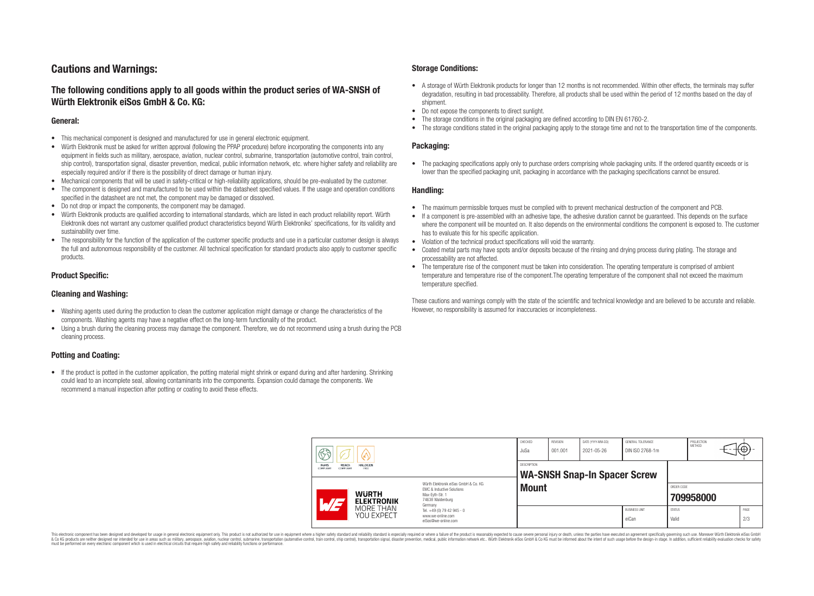### **Cautions and Warnings:**

### **The following conditions apply to all goods within the product series of WA-SNSH of Würth Elektronik eiSos GmbH & Co. KG:**

#### **General:**

- This mechanical component is designed and manufactured for use in general electronic equipment.
- Würth Elektronik must be asked for written approval (following the PPAP procedure) before incorporating the components into any equipment in fields such as military, aerospace, aviation, nuclear control, submarine, transportation (automotive control, train control, ship control), transportation signal, disaster prevention, medical, public information network, etc. where higher safety and reliability are especially required and/or if there is the possibility of direct damage or human injury.
- Mechanical components that will be used in safety-critical or high-reliability applications, should be pre-evaluated by the customer.
- The component is designed and manufactured to be used within the datasheet specified values. If the usage and operation conditions specified in the datasheet are not met, the component may be damaged or dissolved.
- Do not drop or impact the components, the component may be damaged.<br>• Wirth Elektronik products are qualified according to international standard
- Würth Elektronik products are qualified according to international standards, which are listed in each product reliability report. Würth Elektronik does not warrant any customer qualified product characteristics beyond Würth Elektroniks' specifications, for its validity and sustainability over time.
- The responsibility for the function of the application of the customer specific products and use in a particular customer design is always the full and autonomous responsibility of the customer. All technical specification for standard products also apply to customer specific products.

#### **Product Specific:**

#### **Cleaning and Washing:**

- Washing agents used during the production to clean the customer application might damage or change the characteristics of the components. Washing agents may have a negative effect on the long-term functionality of the product.
- Using a brush during the cleaning process may damage the component. Therefore, we do not recommend using a brush during the PCB cleaning process.

#### **Potting and Coating:**

• If the product is potted in the customer application, the potting material might shrink or expand during and after hardening. Shrinking could lead to an incomplete seal, allowing contaminants into the components. Expansion could damage the components. We recommend a manual inspection after potting or coating to avoid these effects.

#### **Storage Conditions:**

- A storage of Würth Elektronik products for longer than 12 months is not recommended. Within other effects, the terminals may suffer degradation, resulting in bad processability. Therefore, all products shall be used within the period of 12 months based on the day of shipment.
- Do not expose the components to direct sunlight.<br>• The storage conditions in the original packaging
- The storage conditions in the original packaging are defined according to DIN EN 61760-2.
- The storage conditions stated in the original packaging apply to the storage time and not to the transportation time of the components.

#### **Packaging:**

• The packaging specifications apply only to purchase orders comprising whole packaging units. If the ordered quantity exceeds or is lower than the specified packaging unit, packaging in accordance with the packaging specifications cannot be ensured.

#### **Handling:**

- The maximum permissible torques must be complied with to prevent mechanical destruction of the component and PCB.
- If a component is pre-assembled with an adhesive tape, the adhesive duration cannot be guaranteed. This depends on the surface where the component will be mounted on. It also depends on the environmental conditions the component is exposed to. The customer has to evaluate this for his specific application.
- Violation of the technical product specifications will void the warranty.
- Coated metal parts may have spots and/or deposits because of the rinsing and drying process during plating. The storage and processability are not affected.
- The temperature rise of the component must be taken into consideration. The operating temperature is comprised of ambient temperature and temperature rise of the component.The operating temperature of the component shall not exceed the maximum temperature specified.

These cautions and warnings comply with the state of the scientific and technical knowledge and are believed to be accurate and reliable. However, no responsibility is assumed for inaccuracies or incompleteness.

| 63<br>RoHS<br><b>REACh</b><br><b>HALOGEN</b><br>COMPLIANT<br>FREE<br>COMPLIANT<br>Würth Flektronik eiSos GmbH & Co. KG<br>EMC & Inductive Solutions<br><b>WURTH</b><br>Max-Evth-Str. 1 |                                              | JuSa<br>DESCRIPTION                                                                                   | <b>WA-SNSH Snap-In Spacer Screw</b><br><b>Mount</b> |  |  | ORDER CODE                    |                        |           |      |     |
|----------------------------------------------------------------------------------------------------------------------------------------------------------------------------------------|----------------------------------------------|-------------------------------------------------------------------------------------------------------|-----------------------------------------------------|--|--|-------------------------------|------------------------|-----------|------|-----|
| $\overline{\phantom{a}}$                                                                                                                                                               | <b>ELEKTRONIK</b><br>MORE THAN<br>YOU EXPECT | 74638 Waldenburg<br>Germany<br>Tel. +49 (0) 79 42 945 - 0<br>www.we-online.com<br>eiSos@we-online.com |                                                     |  |  | <b>BUSINESS UNIT</b><br>eiCan | <b>STATUS</b><br>Valid | 709958000 | PAGE | 2/3 |

This electronic component has been designed and developed for usage in general electronic equipment only. This product is not authorized for use in equipment where a higher safety standard and reliability standard si espec & Ook product a label and the membed of the seasuch as marked and as which such a membed and the such assume that income in the seasuch and the simulation and the such assume that include to the such a membed and the such